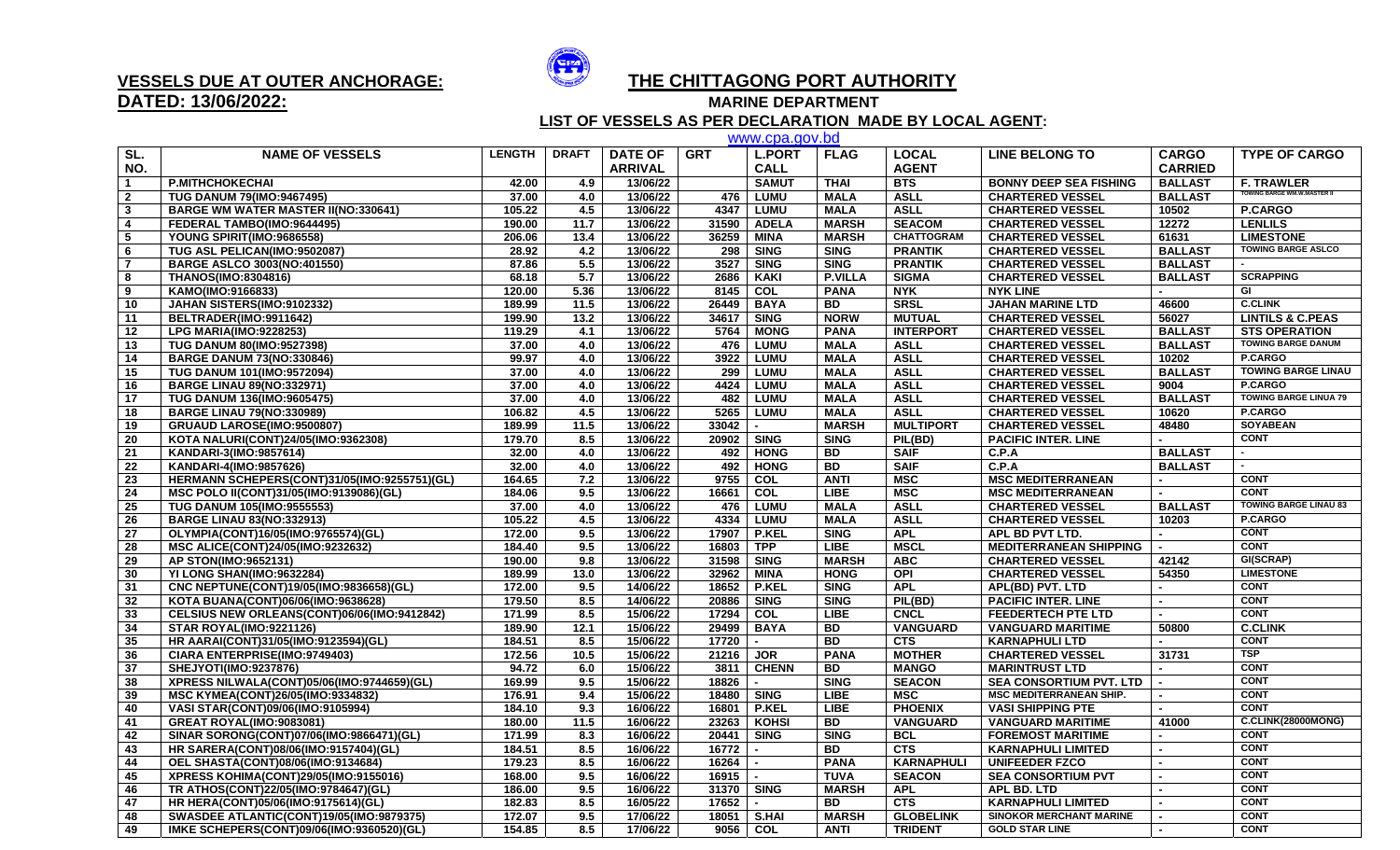

## **DATED: 13/06/2022:**

## **VESSELS DUE AT OUTER ANCHORAGE: THE CHITTAGONG PORT AUTHORITY**

**MARINE DEPARTMENT** 

 **LIST OF VESSELS AS PER DECLARATION MADE BY LOCAL AGENT:**

|                 | www.cpa.gov.bd                               |               |              |                |            |                  |                |                   |                                |                |                                    |  |  |
|-----------------|----------------------------------------------|---------------|--------------|----------------|------------|------------------|----------------|-------------------|--------------------------------|----------------|------------------------------------|--|--|
| SL.             | <b>NAME OF VESSELS</b>                       | <b>LENGTH</b> | <b>DRAFT</b> | <b>DATE OF</b> | <b>GRT</b> | <b>L.PORT</b>    | <b>FLAG</b>    | <b>LOCAL</b>      | <b>LINE BELONG TO</b>          | <b>CARGO</b>   | <b>TYPE OF CARGO</b>               |  |  |
| NO.             |                                              |               |              | <b>ARRIVAL</b> |            | <b>CALL</b>      |                | <b>AGENT</b>      |                                | <b>CARRIED</b> |                                    |  |  |
|                 | <b>P.MITHCHOKECHAI</b>                       | 42.00         | 4.9          | 13/06/22       |            | <b>SAMUT</b>     | <b>THAI</b>    | <b>BTS</b>        | <b>BONNY DEEP SEA FISHING</b>  | <b>BALLAST</b> | <b>F. TRAWLER</b>                  |  |  |
| $\mathbf{2}$    | <b>TUG DANUM 79(IMO:9467495)</b>             | 37.00         | 4.0          | 13/06/22       |            | 476 LUMU         | <b>MALA</b>    | <b>ASLL</b>       | <b>CHARTERED VESSEL</b>        | <b>BALLAST</b> | <b>TOWING BARGE WM.W.MASTER II</b> |  |  |
| $\mathbf{3}$    | <b>BARGE WM WATER MASTER II(NO:330641)</b>   | 105.22        | 4.5          | 13/06/22       |            | 4347 LUMU        | <b>MALA</b>    | <b>ASLL</b>       | <b>CHARTERED VESSEL</b>        | 10502          | <b>P.CARGO</b>                     |  |  |
| 4               | FEDERAL TAMBO(IMO:9644495)                   | 190.00        | 11.7         | 13/06/22       |            | 31590 ADELA      | <b>MARSH</b>   | <b>SEACOM</b>     | <b>CHARTERED VESSEL</b>        | 12272          | <b>LENLILS</b>                     |  |  |
| 5               | YOUNG SPIRIT(IMO:9686558)                    | 206.06        | 13.4         | 13/06/22       | 36259      | <b>MINA</b>      | <b>MARSH</b>   | <b>CHATTOGRAM</b> | <b>CHARTERED VESSEL</b>        | 61631          | <b>LIMESTONE</b>                   |  |  |
| 6               | TUG ASL PELICAN(IMO:9502087)                 | 28.92         | 4.2          | 13/06/22       |            | 298   SING       | <b>SING</b>    | <b>PRANTIK</b>    | <b>CHARTERED VESSEL</b>        | <b>BALLAST</b> | <b>TOWING BARGE ASLCO</b>          |  |  |
| $\overline{7}$  | <b>BARGE ASLCO 3003(NO:401550)</b>           | 87.86         | 5.5          | 13/06/22       | 3527       | <b>SING</b>      | <b>SING</b>    | <b>PRANTIK</b>    | <b>CHARTERED VESSEL</b>        | <b>BALLAST</b> |                                    |  |  |
| 8               | THANOS(IMO:8304816)                          | 68.18         | 5.7          | 13/06/22       | 2686       | <b>KAKI</b>      | <b>P.VILLA</b> | <b>SIGMA</b>      | <b>CHARTERED VESSEL</b>        | <b>BALLAST</b> | <b>SCRAPPING</b>                   |  |  |
| 9               | KAMO(IMO:9166833)                            | 120.00        | 5.36         | 13/06/22       | 8145       | COL              | <b>PANA</b>    | <b>NYK</b>        | <b>NYK LINE</b>                |                | GI                                 |  |  |
| 10              | JAHAN SISTERS(IMO:9102332)                   | 189.99        | 11.5         | 13/06/22       | 26449      | <b>BAYA</b>      | <b>BD</b>      | <b>SRSL</b>       | <b>JAHAN MARINE LTD</b>        | 46600          | <b>C.CLINK</b>                     |  |  |
| 11              | BELTRADER(IMO:9911642)                       | 199.90        | 13.2         | 13/06/22       | 34617      | <b>SING</b>      | <b>NORW</b>    | <b>MUTUAL</b>     | <b>CHARTERED VESSEL</b>        | 56027          | <b>LINTILS &amp; C.PEAS</b>        |  |  |
| 12              | <b>LPG MARIA(IMO:9228253)</b>                | 119.29        | 4.1          | 13/06/22       | 5764       | <b>MONG</b>      | <b>PANA</b>    | <b>INTERPORT</b>  | <b>CHARTERED VESSEL</b>        | <b>BALLAST</b> | <b>STS OPERATION</b>               |  |  |
| 13              | <b>TUG DANUM 80(IMO:9527398)</b>             | 37.00         | 4.0          | 13/06/22       | 476        | <b>LUMU</b>      | <b>MALA</b>    | <b>ASLL</b>       | <b>CHARTERED VESSEL</b>        | <b>BALLAST</b> | <b>TOWING BARGE DANUM</b>          |  |  |
| 14              | <b>BARGE DANUM 73(NO:330846)</b>             | 99.97         | 4.0          | 13/06/22       |            | 3922 LUMU        | <b>MALA</b>    | <b>ASLL</b>       | <b>CHARTERED VESSEL</b>        | 10202          | P.CARGO                            |  |  |
| 15              | TUG DANUM 101(IMO:9572094)                   | 37.00         | 4.0          | 13/06/22       | 299        | <b>LUMU</b>      | <b>MALA</b>    | <b>ASLL</b>       | <b>CHARTERED VESSEL</b>        | <b>BALLAST</b> | <b>TOWING BARGE LINAU</b>          |  |  |
| 16              | <b>BARGE LINAU 89(NO:332971)</b>             | 37.00         | 4.0          | 13/06/22       | 4424       | <b>LUMU</b>      | <b>MALA</b>    | <b>ASLL</b>       | <b>CHARTERED VESSEL</b>        | 9004           | P.CARGO                            |  |  |
| 17              | <b>TUG DANUM 136(IMO:9605475)</b>            | 37.00         | 4.0          | 13/06/22       | 482        | <b>LUMU</b>      | <b>MALA</b>    | <b>ASLL</b>       | <b>CHARTERED VESSEL</b>        | <b>BALLAST</b> | <b>TOWING BARGE LINUA 79</b>       |  |  |
| 18              | <b>BARGE LINAU 79(NO:330989)</b>             | 106.82        | 4.5          | 13/06/22       |            | 5265 LUMU        | <b>MALA</b>    | <b>ASLL</b>       | <b>CHARTERED VESSEL</b>        | 10620          | P.CARGO                            |  |  |
| 19              | GRUAUD LAROSE(IMO:9500807)                   | 189.99        | 11.5         | 13/06/22       | 33042      | $\blacksquare$   | <b>MARSH</b>   | <b>MULTIPORT</b>  | <b>CHARTERED VESSEL</b>        | 48480          | <b>SOYABEAN</b>                    |  |  |
| 20              | KOTA NALURI(CONT)24/05(IMO:9362308)          | 179.70        | 8.5          | 13/06/22       | 20902      | <b>SING</b>      | <b>SING</b>    | PIL(BD)           | <b>PACIFIC INTER. LINE</b>     |                | <b>CONT</b>                        |  |  |
| 21              | KANDARI-3(IMO:9857614)                       | 32.00         | 4.0          | 13/06/22       | 492        | <b>HONG</b>      | <b>BD</b>      | <b>SAIF</b>       | C.P.A                          | <b>BALLAST</b> |                                    |  |  |
| $\overline{22}$ | KANDARI-4(IMO:9857626)                       | 32.00         | 4.0          | 13/06/22       | 492        | <b>HONG</b>      | BD             | <b>SAIF</b>       | C.P.A                          | <b>BALLAST</b> |                                    |  |  |
| 23              | HERMANN SCHEPERS(CONT)31/05(IMO:9255751)(GL) | 164.65        | 7.2          | 13/06/22       | 9755       | $\overline{col}$ | <b>ANTI</b>    | <b>MSC</b>        | <b>MSC MEDITERRANEAN</b>       |                | <b>CONT</b>                        |  |  |
| 24              | MSC POLO II(CONT)31/05(IMO:9139086)(GL)      | 184.06        | 9.5          | 13/06/22       | 16661      | COL              | <b>LIBE</b>    | MSC               | <b>MSC MEDITERRANEAN</b>       |                | <b>CONT</b>                        |  |  |
| 25              | <b>TUG DANUM 105(IMO:9555553)</b>            | 37.00         | 4.0          | 13/06/22       |            | 476 LUMU         | <b>MALA</b>    | <b>ASLL</b>       | <b>CHARTERED VESSEL</b>        | <b>BALLAST</b> | <b>TOWING BARGE LINAU 83</b>       |  |  |
| 26              | <b>BARGE LINAU 83(NO:332913)</b>             | 105.22        | 4.5          | 13/06/22       |            | 4334 LUMU        | <b>MALA</b>    | <b>ASLL</b>       | <b>CHARTERED VESSEL</b>        | 10203          | <b>P.CARGO</b>                     |  |  |
| 27              | OLYMPIA(CONT)16/05(IMO:9765574)(GL)          | 172.00        | 9.5          | 13/06/22       | 17907      | P.KEL            | <b>SING</b>    | <b>APL</b>        | APL BD PVT LTD.                |                | <b>CONT</b>                        |  |  |
| 28              | MSC ALICE(CONT)24/05(IMO:9232632)            | 184.40        | 9.5          | 13/06/22       | 16803      | <b>TPP</b>       | <b>LIBE</b>    | <b>MSCL</b>       | <b>MEDITERRANEAN SHIPPING</b>  |                | <b>CONT</b>                        |  |  |
| 29              | AP STON(IMO:9652131)                         | 190.00        | 9.8          | 13/06/22       | 31598      | <b>SING</b>      | <b>MARSH</b>   | <b>ABC</b>        | <b>CHARTERED VESSEL</b>        | 42142          | GI(SCRAP)                          |  |  |
| 30              | YI LONG SHAN(IMO:9632284)                    | 189.99        | 13.0         | 13/06/22       | 32962      | <b>MINA</b>      | <b>HONG</b>    | OPI               | <b>CHARTERED VESSEL</b>        | 54350          | <b>LIMESTONE</b>                   |  |  |
| 31              | CNC NEPTUNE(CONT)19/05(IMO:9836658)(GL)      | 172.00        | 9.5          | 14/06/22       | 18652      | <b>P.KEL</b>     | <b>SING</b>    | <b>APL</b>        | APL(BD) PVT. LTD               |                | <b>CONT</b>                        |  |  |
| 32              | KOTA BUANA(CONT)06/06(IMO:9638628)           | 179.50        | 8.5          | 14/06/22       | 20886      | <b>SING</b>      | <b>SING</b>    | PIL(BD)           | <b>PACIFIC INTER. LINE</b>     |                | <b>CONT</b>                        |  |  |
| 33              | CELSIUS NEW ORLEANS(CONT)06/06(IMO:9412842)  | 171.99        | 8.5          | 15/06/22       | 17294      | COL              | <b>LIBE</b>    | <b>CNCL</b>       | <b>FEEDERTECH PTE LTD</b>      |                | <b>CONT</b>                        |  |  |
| 34              | <b>STAR ROYAL(IMO:9221126)</b>               | 189.90        | 12.1         | 15/06/22       | 29499      | <b>BAYA</b>      | <b>BD</b>      | VANGUARD          | <b>VANGUARD MARITIME</b>       | 50800          | <b>C.CLINK</b>                     |  |  |
| 35              | HR AARAI(CONT)31/05(IMO:9123594)(GL)         | 184.51        | 8.5          | 15/06/22       | 17720      | $\blacksquare$   | <b>BD</b>      | <b>CTS</b>        | <b>KARNAPHULI LTD</b>          |                | <b>CONT</b>                        |  |  |
| 36              | CIARA ENTERPRISE(IMO:9749403)                | 172.56        | 10.5         | 15/06/22       | 21216      | <b>JOR</b>       | <b>PANA</b>    | <b>MOTHER</b>     | <b>CHARTERED VESSEL</b>        | 31731          | <b>TSP</b>                         |  |  |
| 37              | SHEJYOTI(IMO:9237876)                        | 94.72         | 6.0          | 15/06/22       | 3811       | <b>CHENN</b>     | <b>BD</b>      | <b>MANGO</b>      | <b>MARINTRUST LTD</b>          |                | <b>CONT</b>                        |  |  |
| 38              | XPRESS NILWALA(CONT)05/06(IMO:9744659)(GL)   | 169.99        | 9.5          | 15/06/22       | 18826      |                  | <b>SING</b>    | <b>SEACON</b>     | <b>SEA CONSORTIUM PVT. LTD</b> |                | <b>CONT</b>                        |  |  |
| 39              | MSC KYMEA(CONT)26/05(IMO:9334832)            | 176.91        | 9.4          | 15/06/22       |            | 18480   SING     | <b>LIBE</b>    | <b>MSC</b>        | <b>MSC MEDITERRANEAN SHIP.</b> |                | <b>CONT</b>                        |  |  |
| 40              | VASI STAR(CONT)09/06(IMO:9105994)            | 184.10        | 9.3          | 16/06/22       | 16801      | <b>P.KEL</b>     | <b>LIBE</b>    | <b>PHOENIX</b>    | <b>VASI SHIPPING PTE</b>       |                | <b>CONT</b>                        |  |  |
| 41              | <b>GREAT ROYAL(IMO:9083081)</b>              | 180.00        | 11.5         | 16/06/22       | 23263      | <b>KOHSI</b>     | <b>BD</b>      | <b>VANGUARD</b>   | <b>VANGUARD MARITIME</b>       | 41000          | C.CLINK(28000MONG)                 |  |  |
| 42              | SINAR SORONG(CONT)07/06(IMO:9866471)(GL)     | 171.99        | 8.3          | 16/06/22       | 20441      | <b>SING</b>      | <b>SING</b>    | <b>BCL</b>        | <b>FOREMOST MARITIME</b>       |                | <b>CONT</b>                        |  |  |
| 43              | HR SARERA(CONT)08/06(IMO:9157404)(GL)        | 184.51        | 8.5          | 16/06/22       | 16772      |                  | <b>BD</b>      | CTS               | <b>KARNAPHULI LIMITED</b>      |                | <b>CONT</b>                        |  |  |
| 44              | <b>OEL SHASTA(CONT)08/06(IMO:9134684)</b>    | 179.23        | 8.5          | 16/06/22       | 16264      | $\sim$           | <b>PANA</b>    | <b>KARNAPHULI</b> | <b>UNIFEEDER FZCO</b>          |                | <b>CONT</b>                        |  |  |
| 45              | XPRESS KOHIMA(CONT)29/05(IMO:9155016)        | 168.00        | 9.5          | 16/06/22       | 16915      |                  | <b>TUVA</b>    | <b>SEACON</b>     | <b>SEA CONSORTIUM PVT</b>      |                | <b>CONT</b>                        |  |  |
| 46              | TR ATHOS(CONT)22/05(IMO:9784647)(GL)         | 186.00        | 9.5          | 16/06/22       | 31370 SING |                  | <b>MARSH</b>   | <b>APL</b>        | <b>APL BD. LTD</b>             |                | <b>CONT</b>                        |  |  |
| 47              | HR HERA(CONT)05/06(IMO:9175614)(GL)          | 182.83        | 8.5          | 16/05/22       | 17652      |                  | <b>BD</b>      | <b>CTS</b>        | <b>KARNAPHULI LIMITED</b>      |                | <b>CONT</b>                        |  |  |
| 48              | SWASDEE ATLANTIC(CONT)19/05(IMO:9879375)     | 172.07        | 9.5          | 17/06/22       |            | 18051 S.HAI      | <b>MARSH</b>   | <b>GLOBELINK</b>  | <b>SINOKOR MERCHANT MARINE</b> |                | <b>CONT</b>                        |  |  |
| 49              | IMKE SCHEPERS(CONT)09/06(IMO:9360520)(GL)    | 154.85        | 8.5          | 17/06/22       |            | 9056 COL         | <b>ANTI</b>    | <b>TRIDENT</b>    | <b>GOLD STAR LINE</b>          | $\overline{a}$ | <b>CONT</b>                        |  |  |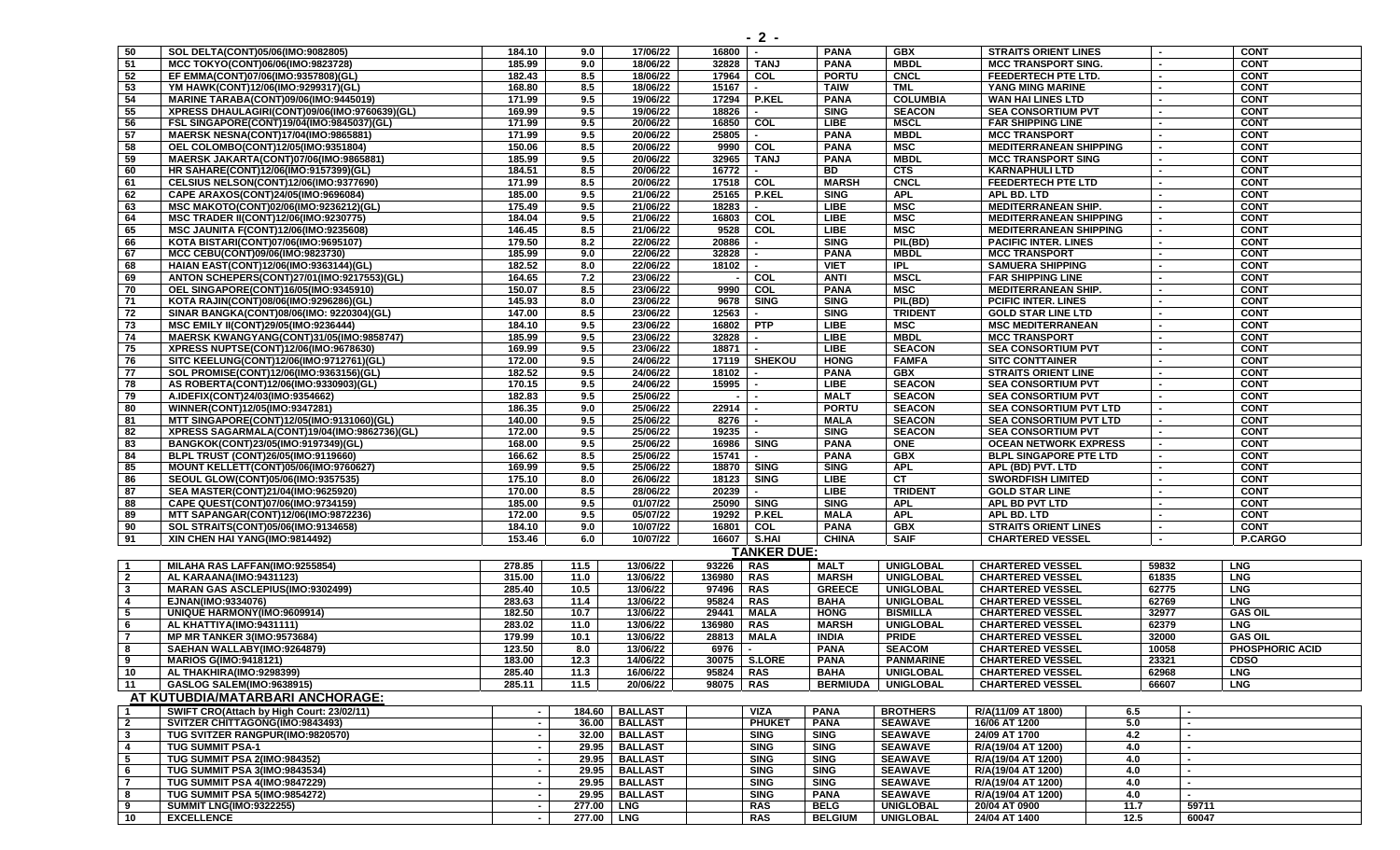| 50                       | SOL DELTA(CONT)05/06(IMO:9082805)                                               | 184.10                   | 9.0          | 17/06/22         | 16800       | $\sim$             | <b>PANA</b>     | <b>GBX</b>       | <b>STRAITS ORIENT LINES</b>   |      |       |                | <b>CONT</b>            |
|--------------------------|---------------------------------------------------------------------------------|--------------------------|--------------|------------------|-------------|--------------------|-----------------|------------------|-------------------------------|------|-------|----------------|------------------------|
| - 51                     | MCC TOKYO(CONT)06/06(IMO:9823728)                                               | 185.99                   | 9.0          | 18/06/22         | 32828       | <b>TANJ</b>        | <b>PANA</b>     | <b>MBDL</b>      | <b>MCC TRANSPORT SING.</b>    |      |       |                | <b>CONT</b>            |
| 52                       | EF EMMA(CONT)07/06(IMO:9357808)(GL)                                             | 182.43                   | 8.5          | 18/06/22         | 17964       | COL                | <b>PORTU</b>    | <b>CNCL</b>      | FEEDERTECH PTE LTD.           |      |       |                | <b>CONT</b>            |
| 53                       | YM HAWK(CONT)12/06(IMO:9299317)(GL)                                             | 168.80                   | 8.5          | 18/06/22         | 15167       | $\sim$             | <b>TAIW</b>     | <b>TML</b>       | YANG MING MARINE              |      |       |                | <b>CONT</b>            |
| 54                       | MARINE TARABA(CONT)09/06(IMO:9445019)                                           | 171.99                   | 9.5          | 19/06/22         | 17294       | <b>P.KEL</b>       | <b>PANA</b>     | <b>COLUMBIA</b>  | WAN HAI LINES LTD             |      |       |                | <b>CONT</b>            |
| 55                       | XPRESS DHAULAGIRI(CONT)09/06(IMO:9760639)(GL)                                   | 169.99                   | 9.5          | 19/06/22         | 18826       | $\sim$             | <b>SING</b>     | <b>SEACON</b>    | <b>SEA CONSORTIUM PVT</b>     |      |       |                | <b>CONT</b>            |
| 56                       | FSL SINGAPORE(CONT)19/04(IMO:9845037)(GL)                                       | 171.99                   | 9.5          | 20/06/22         |             | 16850 COL          | <b>LIBE</b>     | <b>MSCL</b>      | <b>FAR SHIPPING LINE</b>      |      |       |                | <b>CONT</b>            |
| 57                       | MAERSK NESNA(CONT)17/04(IMO:9865881)                                            | 171.99                   | 9.5          | 20/06/22         | 25805       |                    | <b>PANA</b>     | <b>MBDL</b>      | <b>MCC TRANSPORT</b>          |      |       |                | <b>CONT</b>            |
| 58                       | OEL COLOMBO(CONT)12/05(IMO:9351804)                                             | 150.06                   | 8.5          | 20/06/22         | 9990        | COL                | <b>PANA</b>     | <b>MSC</b>       | <b>MEDITERRANEAN SHIPPING</b> |      |       |                | <b>CONT</b>            |
| 59                       | <b>MAERSK JAKARTA(CONT)07/06(IMO:9865881)</b>                                   | 185.99                   | 9.5          | 20/06/22         | 32965       | <b>TANJ</b>        | <b>PANA</b>     | <b>MBDL</b>      | <b>MCC TRANSPORT SING</b>     |      |       |                | <b>CONT</b>            |
| 60                       | HR SAHARE(CONT)12/06(IMO:9157399)(GL)                                           | 184.51                   | 8.5          | 20/06/22         | 16772       | $\sim$             | <b>BD</b>       | <b>CTS</b>       | <b>KARNAPHULI LTD</b>         |      |       |                | <b>CONT</b>            |
| 61                       | CELSIUS NELSON(CONT)12/06(IMO:9377690)                                          | 171.99                   | 8.5          | 20/06/22         |             | 17518 COL          | <b>MARSH</b>    | <b>CNCL</b>      | <b>FEEDERTECH PTE LTD</b>     |      |       |                | <b>CONT</b>            |
| 62                       | CAPE ARAXOS(CONT)24/05(IMO:9696084)                                             | 185.00                   | 9.5          | 21/06/22         | 25165       | P.KEL              | <b>SING</b>     | <b>APL</b>       | APL BD. LTD                   |      |       |                | <b>CONT</b>            |
| 63                       |                                                                                 | 175.49                   | 9.5          | 21/06/22         | 18283       |                    | <b>LIBE</b>     | <b>MSC</b>       | <b>MEDITERRANEAN SHIP.</b>    |      |       |                | <b>CONT</b>            |
|                          | MSC MAKOTO(CONT)02/06(IMO:9236212)(GL)<br>MSC TRADER II(CONT)12/06(IMO:9230775) | 184.04                   |              |                  |             | COL                | <b>LIBE</b>     | <b>MSC</b>       |                               |      |       |                | <b>CONT</b>            |
| 64                       |                                                                                 |                          | 9.5          | 21/06/22         | 16803       |                    |                 | <b>MSC</b>       | <b>MEDITERRANEAN SHIPPING</b> |      |       |                |                        |
| 65                       | MSC JAUNITA F(CONT)12/06(IMO:9235608)                                           | 146.45                   | 8.5          | 21/06/22         | 9528        | COL                | <b>LIBE</b>     |                  | <b>MEDITERRANEAN SHIPPING</b> |      |       |                | <b>CONT</b>            |
| 66                       | KOTA BISTARI(CONT)07/06(IMO:9695107)                                            | 179.50                   | 8.2          | 22/06/22         | 20886       |                    | <b>SING</b>     | PIL(BD)          | <b>PACIFIC INTER. LINES</b>   |      |       |                | <b>CONT</b>            |
| 67                       | MCC CEBU(CONT)09/06(IMO:9823730)                                                | 185.99                   | 9.0          | 22/06/22         | 32828       |                    | <b>PANA</b>     | <b>MBDL</b>      | <b>MCC TRANSPORT</b>          |      |       |                | <b>CONT</b>            |
| 68                       | HAIAN EAST(CONT)12/06(IMO:9363144)(GL)                                          | 182.52                   | 8.0          | 22/06/22         | 18102       |                    | <b>VIET</b>     | <b>IPL</b>       | <b>SAMUERA SHIPPING</b>       |      |       |                | <b>CONT</b>            |
| 69                       | ANTON SCHEPERS(CONT)27/01(IMO:9217553)(GL)                                      | 164.65                   | 7.2          | 23/06/22         | ٠.          | COL                | <b>ANTI</b>     | <b>MSCL</b>      | <b>FAR SHIPPING LINE</b>      |      |       |                | <b>CONT</b>            |
| 70                       | OEL SINGAPORE(CONT)16/05(IMO:9345910)                                           | 150.07                   | 8.5          | 23/06/22         | 9990        | COL                | <b>PANA</b>     | <b>MSC</b>       | <b>MEDITERRANEAN SHIP.</b>    |      |       |                | <b>CONT</b>            |
| 71                       | KOTA RAJIN(CONT)08/06(IMO:9296286)(GL)                                          | 145.93                   | 8.0          | 23/06/22         | 9678        | <b>SING</b>        | <b>SING</b>     | PIL(BD)          | <b>PCIFIC INTER. LINES</b>    |      |       |                | <b>CONT</b>            |
| $\overline{72}$          | SINAR BANGKA(CONT)08/06(IMO: 9220304)(GL)                                       | 147.00                   | 8.5          | 23/06/22         | 12563       |                    | <b>SING</b>     | <b>TRIDENT</b>   | <b>GOLD STAR LINE LTD</b>     |      |       |                | <b>CONT</b>            |
| 73                       | <b>MSC EMILY II(CONT)29/05(IMO:9236444)</b>                                     | 184.10                   | 9.5          | 23/06/22         |             | 16802 PTP          | <b>LIBE</b>     | <b>MSC</b>       | <b>MSC MEDITERRANEAN</b>      |      |       |                | <b>CONT</b>            |
| 74                       | MAERSK KWANGYANG(CONT)31/05(IMO:9858747)                                        | 185.99                   | 9.5          | 23/06/22         | 32828       | $\sim$             | <b>LIBE</b>     | <b>MBDL</b>      | <b>MCC TRANSPORT</b>          |      |       |                | <b>CONT</b>            |
| 75                       | XPRESS NUPTSE(CONT)12/06(IMO:9678630)                                           | 169.99                   | 9.5          | 23/06/22         | 18871       |                    | <b>LIBE</b>     | <b>SEACON</b>    | <b>SEA CONSORTIUM PVT</b>     |      |       |                | <b>CONT</b>            |
| 76                       | SITC KEELUNG(CONT)12/06(IMO:9712761)(GL)                                        | 172.00                   | 9.5          | 24/06/22         |             | 17119   SHEKOU     | <b>HONG</b>     | <b>FAMFA</b>     | <b>SITC CONTTAINER</b>        |      |       |                | <b>CONT</b>            |
| 77                       | SOL PROMISE(CONT)12/06(IMO:9363156)(GL)                                         | 182.52                   | 9.5          | 24/06/22         | 18102       |                    | <b>PANA</b>     | <b>GBX</b>       | <b>STRAITS ORIENT LINE</b>    |      |       |                | <b>CONT</b>            |
| 78                       | AS ROBERTA(CONT)12/06(IMO:9330903)(GL)                                          | 170.15                   | 9.5          | 24/06/22         | 15995       |                    | <b>LIBE</b>     | <b>SEACON</b>    | <b>SEA CONSORTIUM PVT</b>     |      |       |                | <b>CONT</b>            |
| 79                       | A.IDEFIX(CONT)24/03(IMO:9354662)                                                | 182.83                   | 9.5          | 25/06/22         |             |                    | <b>MALT</b>     | <b>SEACON</b>    | <b>SEA CONSORTIUM PVT</b>     |      |       |                | <b>CONT</b>            |
| 80                       | WINNER(CONT)12/05(IMO:9347281)                                                  | 186.35                   | 9.0          | 25/06/22         | 22914       |                    | <b>PORTU</b>    | <b>SEACON</b>    | <b>SEA CONSORTIUM PVT LTD</b> |      |       |                | <b>CONT</b>            |
| 81                       | MTT SINGAPORE(CONT)12/05(IMO:9131060)(GL)                                       | 140.00                   | 9.5          | 25/06/22         | 8276        |                    | <b>MALA</b>     | <b>SEACON</b>    | <b>SEA CONSORTIUM PVT LTD</b> |      |       |                | <b>CONT</b>            |
| 82                       | XPRESS SAGARMALA(CONT)19/04(IMO:9862736)(GL)                                    | 172.00                   | 9.5          | 25/06/22         | 19235       |                    | <b>SING</b>     | <b>SEACON</b>    | <b>SEA CONSORTIUM PVT</b>     |      |       |                | <b>CONT</b>            |
| 83                       | BANGKOK(CONT)23/05(IMO:9197349)(GL)                                             | 168.00                   | 9.5          | 25/06/22         | 16986       | <b>SING</b>        | <b>PANA</b>     | <b>ONE</b>       | <b>OCEAN NETWORK EXPRESS</b>  |      |       |                | <b>CONT</b>            |
| 84                       | BLPL TRUST (CONT)26/05(IMO:9119660)                                             | 166.62                   | 8.5          | 25/06/22         | 15741       |                    | <b>PANA</b>     | <b>GBX</b>       | <b>BLPL SINGAPORE PTE LTD</b> |      |       |                | <b>CONT</b>            |
| 85                       | MOUNT KELLETT(CONT)05/06(IMO:9760627)                                           | 169.99                   | 9.5          | 25/06/22         | 18870       | <b>SING</b>        | <b>SING</b>     | <b>APL</b>       | APL (BD) PVT. LTD             |      |       |                | <b>CONT</b>            |
| 86                       | SEOUL GLOW(CONT)05/06(IMO:9357535)                                              | 175.10                   | 8.0          | 26/06/22         | 18123       | <b>SING</b>        | LIBE            | <b>CT</b>        | <b>SWORDFISH LIMITED</b>      |      |       |                | <b>CONT</b>            |
| 87                       | SEA MASTER(CONT)21/04(IMO:9625920)                                              | 170.00                   | 8.5          | 28/06/22         | 20239       | $\sim$             | <b>LIBE</b>     | <b>TRIDENT</b>   | <b>GOLD STAR LINE</b>         |      |       |                | <b>CONT</b>            |
| 88                       | CAPE QUEST(CONT)07/06(IMO:9734159)                                              | 185.00                   | 9.5          | 01/07/22         | 25090       | <b>SING</b>        | <b>SING</b>     | <b>APL</b>       | APL BD PVT LTD                |      |       |                | <b>CONT</b>            |
| 89                       |                                                                                 | 172.00                   | 9.5          | 05/07/22         | 19292       | <b>P.KEL</b>       | <b>MALA</b>     | <b>APL</b>       | APL BD. LTD                   |      |       |                | <b>CONT</b>            |
|                          | <b>MTT SAPANGAR(CONT)12/06(IMO:9872236)</b>                                     | 184.10                   |              |                  | 16801       |                    | <b>PANA</b>     | <b>GBX</b>       | <b>STRAITS ORIENT LINES</b>   |      |       |                | <b>CONT</b>            |
| 90                       | SOL STRAITS(CONT)05/06(IMO:9134658)                                             |                          | 9.0          | 10/07/22         |             | COL                |                 |                  |                               |      |       |                |                        |
| 91                       | XIN CHEN HAI YANG(IMO:9814492)                                                  | 153.46                   | 6.0          | 10/07/22         |             | 16607   S.HAI      | <b>CHINA</b>    | <b>SAIF</b>      | <b>CHARTERED VESSEL</b>       |      |       |                | P.CARGO                |
|                          |                                                                                 |                          |              |                  |             | <b>TANKER DUE:</b> |                 |                  |                               |      |       |                |                        |
| $\overline{1}$           | MILAHA RAS LAFFAN(IMO:9255854)                                                  | 278.85                   | 11.5         | 13/06/22         | 93226       | <b>RAS</b>         | <b>MALT</b>     | <b>UNIGLOBAL</b> | <b>CHARTERED VESSEL</b>       |      | 59832 |                | <b>LNG</b>             |
| $\overline{2}$           | AL KARAANA(IMO:9431123)                                                         | 315.00                   | 11.0         | 13/06/22         | 136980      | <b>RAS</b>         | <b>MARSH</b>    | <b>UNIGLOBAL</b> | <b>CHARTERED VESSEL</b>       |      | 61835 |                | <b>LNG</b>             |
| $\mathbf{3}$             | <b>MARAN GAS ASCLEPIUS(IMO:9302499)</b>                                         | 285.40                   | 10.5         | 13/06/22         | 97496       | <b>RAS</b>         | <b>GREECE</b>   | <b>UNIGLOBAL</b> | <b>CHARTERED VESSEL</b>       |      | 62775 |                | <b>LNG</b>             |
| $\overline{4}$           | EJNAN(IMO:9334076)                                                              | 283.63                   | 11.4         | 13/06/22         | 95824       | <b>RAS</b>         | <b>BAHA</b>     | <b>UNIGLOBAL</b> | <b>CHARTERED VESSEL</b>       |      | 62769 |                | <b>LNG</b>             |
| 5                        | UNIQUE HARMONY(IMO:9609914)                                                     | 182.50                   | 10.7         | 13/06/22         | 29441       | <b>MALA</b>        | <b>HONG</b>     | <b>BISMILLA</b>  | <b>CHARTERED VESSEL</b>       |      | 32977 |                | <b>GAS OIL</b>         |
| 6                        | AL KHATTIYA(IMO:9431111)                                                        | 283.02                   | 11.0         | 13/06/22         | 136980      | <b>RAS</b>         | <b>MARSH</b>    | <b>UNIGLOBAL</b> | <b>CHARTERED VESSEL</b>       |      | 62379 |                | <b>LNG</b>             |
| $\overline{7}$           | <b>MP MR TANKER 3(IMO:9573684)</b>                                              | 179.99                   | 10.1         | 13/06/22         | 28813       | <b>MALA</b>        | <b>INDIA</b>    | <b>PRIDE</b>     | <b>CHARTERED VESSEL</b>       |      | 32000 |                | <b>GAS OIL</b>         |
| 8                        | SAEHAN WALLABY(IMO:9264879)                                                     | 123.50                   | 8.0          | 13/06/22         | 6976        |                    | <b>PANA</b>     | <b>SEACOM</b>    | <b>CHARTERED VESSEL</b>       |      | 10058 |                | <b>PHOSPHORIC ACID</b> |
| 9                        | <b>MARIOS G(IMO:9418121)</b>                                                    | 183.00                   | 12.3         | 14/06/22         |             | 30075   S.LORE     | <b>PANA</b>     | <b>PANMARINE</b> | <b>CHARTERED VESSEL</b>       |      | 23321 |                | <b>CDSO</b>            |
| 10                       | AL THAKHIRA(IMO:9298399)                                                        | 285.40                   | 11.3         | 16/06/22         | 95824   RAS |                    | BAHA            | <b>UNIGLOBAL</b> | <b>CHARTERED VESSEL</b>       |      | 62968 |                | <b>LNG</b>             |
| 11                       | GASLOG SALEM(IMO:9638915)                                                       | 285.11                   | 11.5         | 20/06/22         | 98075   RAS |                    | <b>BERMIUDA</b> | <b>UNIGLOBAL</b> | <b>CHARTERED VESSEL</b>       |      | 66607 |                | <b>LNG</b>             |
|                          | AT KUTUBDIA/MATARBARI ANCHORAGE:                                                |                          |              |                  |             |                    |                 |                  |                               |      |       |                |                        |
|                          |                                                                                 |                          |              |                  |             |                    |                 |                  |                               |      |       |                |                        |
| $\overline{1}$           | SWIFT CRO(Attach by High Court: 23/02/11)                                       | $\blacksquare$           |              | 184.60   BALLAST |             | <b>VIZA</b>        | <b>PANA</b>     | <b>BROTHERS</b>  | R/A(11/09 AT 1800)            | 6.5  |       | $\blacksquare$ |                        |
| $\overline{2}$           | SVITZER CHITTAGONG(IMO:9843493)                                                 | $\sim$                   |              | 36.00 BALLAST    |             | <b>PHUKET</b>      | <b>PANA</b>     | <b>SEAWAVE</b>   | 16/06 AT 1200                 | 5.0  |       | $\sim$         |                        |
| $\overline{\mathbf{3}}$  | TUG SVITZER RANGPUR(IMO:9820570)                                                | $\sim$                   |              | 32.00 BALLAST    |             | <b>SING</b>        | <b>SING</b>     | <b>SEAWAVE</b>   | 24/09 AT 1700                 | 4.2  |       |                |                        |
| $\overline{4}$           | <b>TUG SUMMIT PSA-1</b>                                                         | $\sim$                   |              | 29.95   BALLAST  |             | <b>SING</b>        | <b>SING</b>     | <b>SEAWAVE</b>   | R/A(19/04 AT 1200)            | 4.0  |       |                |                        |
| $\overline{\phantom{a}}$ | TUG SUMMIT PSA 2(IMO:984352)                                                    | $\sim$                   |              | 29.95 BALLAST    |             | <b>SING</b>        | <b>SING</b>     | <b>SEAWAVE</b>   | R/A(19/04 AT 1200)            | 4.0  |       |                |                        |
| 6                        | <b>TUG SUMMIT PSA 3(IMO:9843534)</b>                                            | $\sim$                   |              | 29.95   BALLAST  |             | <b>SING</b>        | <b>SING</b>     | <b>SEAWAVE</b>   | R/A(19/04 AT 1200)            | 4.0  |       | $\sim$         |                        |
| $\overline{7}$           | <b>TUG SUMMIT PSA 4(IMO:9847229)</b>                                            | $\sim$                   |              | 29.95   BALLAST  |             | <b>SING</b>        | <b>SING</b>     | <b>SEAWAVE</b>   | R/A(19/04 AT 1200)            | 4.0  |       | $\sim$         |                        |
| 8                        | <b>TUG SUMMIT PSA 5(IMO:9854272)</b>                                            | $\overline{\phantom{a}}$ |              | 29.95   BALLAST  |             | <b>SING</b>        | <b>PANA</b>     | <b>SEAWAVE</b>   | R/A(19/04 AT 1200)            | 4.0  |       |                |                        |
| 9                        | <b>SUMMIT LNG(IMO:9322255)</b>                                                  | $\sim$                   | 277.00   LNG |                  |             | <b>RAS</b>         | <b>BELG</b>     | <b>UNIGLOBAL</b> | 20/04 AT 0900                 | 11.7 |       | 59711          |                        |
| $\overline{10}$          | <b>EXCELLENCE</b>                                                               |                          | 277.00   LNG |                  |             | <b>RAS</b>         | <b>BELGIUM</b>  | <b>UNIGLOBAL</b> | 24/04 AT 1400                 | 12.5 |       | 60047          |                        |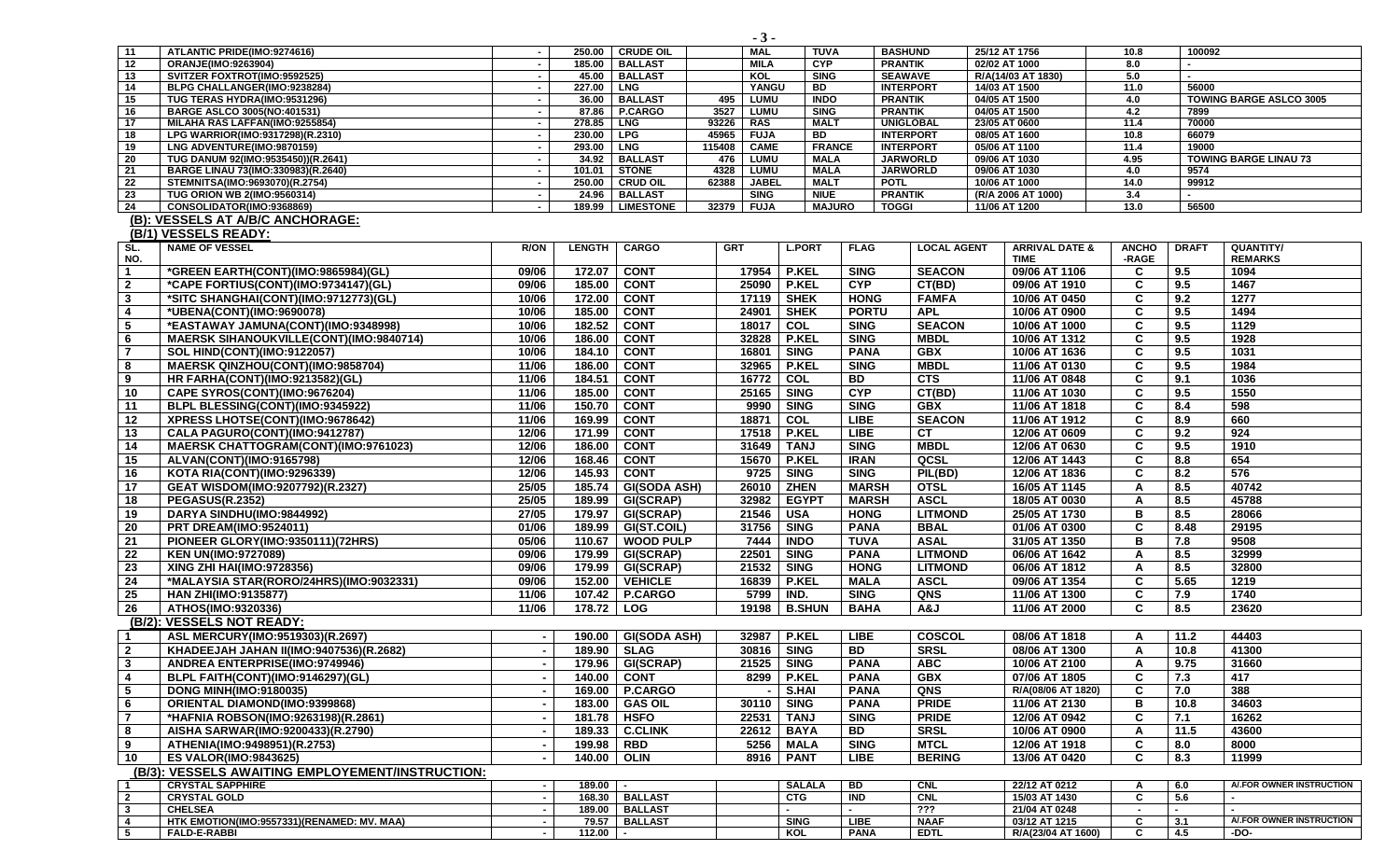|                         |                                                                      |                          |                  |                          | - ບ -                                         |                     |                 |                                      |                                |              |                |                                |
|-------------------------|----------------------------------------------------------------------|--------------------------|------------------|--------------------------|-----------------------------------------------|---------------------|-----------------|--------------------------------------|--------------------------------|--------------|----------------|--------------------------------|
| 11                      | ATLANTIC PRIDE(IMO:9274616)                                          | $\blacksquare$           | 250.00           | <b>CRUDE OIL</b>         | MAL                                           | TUVA                |                 | <b>BASHUND</b>                       | 25/12 AT 1756                  | 10.8         | 100092         |                                |
| 12                      | <b>ORANJE(IMO:9263904)</b>                                           | $\blacksquare$           | 185.00           | <b>BALLAST</b>           | <b>MILA</b>                                   | <b>CYP</b>          |                 | <b>PRANTIK</b>                       | 02/02 AT 1000                  | 8.0          |                |                                |
| 13                      | SVITZER FOXTROT(IMO:9592525)                                         | $\overline{\phantom{a}}$ |                  | 45.00 BALLAST            | KOL                                           | <b>SING</b>         |                 | <b>SEAWAVE</b>                       | R/A(14/03 AT 1830)             | 5.0          |                |                                |
| 14                      | BLPG CHALLANGER(IMO:9238284)                                         | $\sim$                   | 227.00           | <b>LNG</b>               | YANGU                                         | BD                  |                 | <b>INTERPORT</b>                     | 14/03 AT 1500                  | 11.0         | 56000          |                                |
| 15                      | TUG TERAS HYDRA(IMO:9531296)                                         | $\sim$                   | 36.00            | <b>BALLAST</b>           | <b>LUMU</b><br>495                            | <b>INDO</b>         |                 | <b>PRANTIK</b>                       | 04/05 AT 1500                  | 4.0          |                | <b>TOWING BARGE ASLCO 3005</b> |
| 16                      | BARGE ASLCO 3005(NO:401531)                                          | $\sim$                   |                  | 87.86   P.CARGO          | 3527<br>LUMU                                  | <b>SING</b>         |                 | <b>PRANTIK</b>                       | 04/05 AT 1500                  | 4.2          | 7899           |                                |
| 17                      | MILAHA RAS LAFFAN(IMO:9255854)                                       | $\sim$                   | 278.85   LNG     |                          | 93226<br>RAS                                  | <b>MALT</b>         |                 | <b>UNIGLOBAL</b>                     | 23/05 AT 0600                  | 11.4         | 70000          |                                |
| 18<br>19                | LPG WARRIOR(IMO:9317298)(R.2310)<br>LNG ADVENTURE(IMO:9870159)       | $\blacksquare$<br>и,     | 230.00<br>293.00 | <b>LPG</b><br><b>LNG</b> | 45965<br><b>FUJA</b><br><b>CAME</b><br>115408 | BD<br><b>FRANCE</b> |                 | <b>INTERPORT</b><br><b>INTERPORT</b> | 08/05 AT 1600<br>05/06 AT 1100 | 10.8<br>11.4 | 66079<br>19000 |                                |
| 20                      | TUG DANUM 92(IMO:9535450))(R.2641)                                   | $\overline{\phantom{a}}$ |                  | 34.92   BALLAST          | 476<br><b>LUMU</b>                            | <b>MALA</b>         |                 | <b>JARWORLD</b>                      | 09/06 AT 1030                  | 4.95         |                | <b>TOWING BARGE LINAU 73</b>   |
| 21                      | BARGE LINAU 73(IMO:330983)(R.2640)                                   | $\overline{\phantom{a}}$ | 101.01           | <b>STONE</b>             | 4328<br><b>LUMU</b>                           | <b>MALA</b>         |                 | <b>JARWORLD</b>                      | 09/06 AT 1030                  | 4.0          | 9574           |                                |
| 22                      | STEMNITSA(IMO:9693070)(R.2754)                                       | $\blacksquare$           | 250.00           | <b>CRUD OIL</b>          | 62388<br><b>JABEL</b>                         | <b>MALT</b>         |                 | <b>POTL</b>                          | 10/06 AT 1000                  | 14.0         | 99912          |                                |
| 23                      | <b>TUG ORION WB 2(IMO:9560314)</b>                                   | $\sim$                   | 24.96            | <b>BALLAST</b>           | <b>SING</b>                                   | <b>NIUE</b>         |                 | <b>PRANTIK</b>                       | (R/A 2006 AT 1000)             | 3.4          |                |                                |
| 24                      | CONSOLIDATOR(IMO:9368869)                                            | $\blacksquare$           | 189.99           | <b>LIMESTONE</b>         | 32379<br><b>FUJA</b>                          | <b>MAJURO</b>       |                 | <b>TOGGI</b>                         | 11/06 AT 1200                  | 13.0         | 56500          |                                |
|                         | (B): VESSELS AT A/B/C ANCHORAGE:                                     |                          |                  |                          |                                               |                     |                 |                                      |                                |              |                |                                |
|                         | (B/1) VESSELS READY:                                                 |                          |                  |                          |                                               |                     |                 |                                      |                                |              |                |                                |
| SL.                     | <b>NAME OF VESSEL</b>                                                | <b>R/ON</b>              | <b>LENGTH</b>    | <b>CARGO</b>             | <b>GRT</b>                                    | <b>L.PORT</b>       | <b>FLAG</b>     | <b>LOCAL AGENT</b>                   | <b>ARRIVAL DATE &amp;</b>      | <b>ANCHO</b> | <b>DRAFT</b>   | QUANTITY/                      |
| NO.                     |                                                                      |                          |                  |                          |                                               |                     |                 |                                      | <b>TIME</b>                    | -RAGE        |                | <b>REMARKS</b>                 |
| $\mathbf 1$             | *GREEN EARTH(CONT)(IMO:9865984)(GL)                                  | 09/06                    | 172.07           | <b>CONT</b>              | 17954                                         | <b>P.KEL</b>        | <b>SING</b>     | <b>SEACON</b>                        | 09/06 AT 1106                  | C            | 9.5            | 1094                           |
| $\mathbf{2}$            | *CAPE FORTIUS(CONT)(IMO:9734147)(GL)                                 | 09/06                    | 185.00           | <b>CONT</b>              | 25090                                         | <b>P.KEL</b>        | <b>CYP</b>      | CT(BD)                               | 09/06 AT 1910                  | C            | 9.5            | 1467                           |
| $\mathbf{3}$            | *SITC SHANGHAI(CONT)(IMO:9712773)(GL)                                | 10/06                    | 172.00           | <b>CONT</b>              | 17119                                         | <b>SHEK</b>         | <b>HONG</b>     | <b>FAMFA</b>                         | 10/06 AT 0450                  | C            | 9.2            | 1277                           |
| 4                       | *UBENA(CONT)(IMO:9690078)                                            | 10/06                    | 185.00           | <b>CONT</b>              | 24901                                         | <b>SHEK</b>         | <b>PORTU</b>    | <b>APL</b>                           | 10/06 AT 0900                  | C            | 9.5            | 1494                           |
| 5                       | *EASTAWAY JAMUNA(CONT)(IMO:9348998)                                  | 10/06                    | 182.52           | <b>CONT</b>              | 18017                                         | COL                 | <b>SING</b>     | <b>SEACON</b>                        | 10/06 AT 1000                  | C            | 9.5            | 1129                           |
| 6                       | MAERSK SIHANOUKVILLE(CONT)(IMO:9840714)                              | 10/06                    | 186.00           | <b>CONT</b>              | 32828                                         | <b>P.KEL</b>        | <b>SING</b>     | <b>MBDL</b>                          | 10/06 AT 1312                  | C            | 9.5            | 1928                           |
| $\overline{7}$          | <b>SOL HIND(CONT)(IMO:9122057)</b>                                   | 10/06                    | 184.10           | <b>CONT</b>              | 16801                                         | <b>SING</b>         | <b>PANA</b>     | <b>GBX</b>                           | 10/06 AT 1636                  | C            | 9.5            | 1031                           |
| 8                       |                                                                      | 11/06                    | 186.00           | <b>CONT</b>              | 32965                                         | <b>P.KEL</b>        | <b>SING</b>     | <b>MBDL</b>                          | 11/06 AT 0130                  | C            | 9.5            | 1984                           |
| 9                       | MAERSK QINZHOU(CONT)(IMO:9858704)<br>HR FARHA(CONT)(IMO:9213582)(GL) |                          | 184.51           | <b>CONT</b>              | 16772                                         | COL                 | <b>BD</b>       | <b>CTS</b>                           | 11/06 AT 0848                  | C            | 9.1            | 1036                           |
|                         |                                                                      | 11/06                    |                  |                          |                                               |                     |                 |                                      |                                |              |                |                                |
| 10                      | CAPE SYROS(CONT)(IMO:9676204)                                        | 11/06                    | 185.00           | <b>CONT</b>              | 25165                                         | <b>SING</b>         | <b>CYP</b>      | CT(BD)                               | 11/06 AT 1030                  | C            | 9.5            | 1550                           |
| 11                      | BLPL BLESSING(CONT)(IMO:9345922)                                     | 11/06                    | 150.70           | <b>CONT</b>              | 9990                                          | <b>SING</b>         | <b>SING</b>     | <b>GBX</b>                           | 11/06 AT 1818                  | C            | 8.4            | 598                            |
| 12                      | XPRESS LHOTSE(CONT)(IMO:9678642)                                     | 11/06                    | 169.99           | <b>CONT</b>              | 18871                                         | COL                 | <b>LIBE</b>     | <b>SEACON</b>                        | 11/06 AT 1912                  | C            | 8.9            | 660                            |
| 13                      | CALA PAGURO(CONT)(IMO:9412787)                                       | 12/06                    | 171.99           | <b>CONT</b>              | 17518                                         | <b>P.KEL</b>        | <b>LIBE</b>     | <b>CT</b>                            | 12/06 AT 0609                  | C            | 9.2            | 924                            |
| 14                      | <b>MAERSK CHATTOGRAM(CONT)(IMO:9761023)</b>                          | 12/06                    | 186.00           | <b>CONT</b>              | 31649                                         | <b>TANJ</b>         | <b>SING</b>     | <b>MBDL</b>                          | 12/06 AT 0630                  | C            | 9.5            | 1910                           |
| 15                      | ALVAN(CONT)(IMO:9165798)                                             | 12/06                    | 168.46           | <b>CONT</b>              | 15670                                         | <b>P.KEL</b>        | <b>IRAN</b>     | QCSL                                 | 12/06 AT 1443                  | C            | 8.8            | 654                            |
| 16                      | <b>KOTA RIA(CONT)(IMO:9296339)</b>                                   | 12/06                    | 145.93           | <b>CONT</b>              | 9725                                          | <b>SING</b>         | <b>SING</b>     | PIL(BD)                              | 12/06 AT 1836                  | C            | 8.2            | 576                            |
| 17                      | GEAT WISDOM(IMO:9207792)(R.2327)                                     | 25/05                    | 185.74           | <b>GI(SODA ASH)</b>      | 26010                                         | <b>ZHEN</b>         | <b>MARSH</b>    | <b>OTSL</b>                          | 16/05 AT 1145                  | A            | 8.5            | 40742                          |
| 18                      | <b>PEGASUS(R.2352)</b>                                               | 25/05                    | 189.99           | GI(SCRAP)                | 32982                                         | <b>EGYPT</b>        | <b>MARSH</b>    | <b>ASCL</b>                          | 18/05 AT 0030                  | A            | 8.5            | 45788                          |
| 19                      | DARYA SINDHU(IMO:9844992)                                            | 27/05                    | 179.97           | GI(SCRAP)                | 21546                                         | <b>USA</b>          | <b>HONG</b>     | <b>LITMOND</b>                       | 25/05 AT 1730                  | В            | 8.5            | 28066                          |
| 20                      | <b>PRT DREAM(IMO:9524011)</b>                                        | 01/06                    | 189.99           | GI(ST.COIL)              | 31756                                         | <b>SING</b>         | <b>PANA</b>     | <b>BBAL</b>                          | 01/06 AT 0300                  | C            | 8.48           | 29195                          |
| 21                      | PIONEER GLORY(IMO:9350111)(72HRS)                                    | 05/06                    | 110.67           | <b>WOOD PULP</b>         | 7444                                          | <b>INDO</b>         | <b>TUVA</b>     | <b>ASAL</b>                          | 31/05 AT 1350                  | в            | 7.8            | 9508                           |
| 22                      | <b>KEN UN(IMO:9727089)</b>                                           | 09/06                    | 179.99           | GI(SCRAP)                | 22501                                         | <b>SING</b>         | <b>PANA</b>     | <b>LITMOND</b>                       | 06/06 AT 1642                  | A            | 8.5            | 32999                          |
| 23                      | XING ZHI HAI(IMO:9728356)                                            | 09/06                    | 179.99           | GI(SCRAP)                | 21532                                         | <b>SING</b>         | <b>HONG</b>     | <b>LITMOND</b>                       | 06/06 AT 1812                  | A            | 8.5            | 32800                          |
| 24                      | *MALAYSIA STAR(RORO/24HRS)(IMO:9032331)                              | 09/06                    | 152.00           | <b>VEHICLE</b>           | 16839                                         | <b>P.KEL</b>        | <b>MALA</b>     | <b>ASCL</b>                          | 09/06 AT 1354                  | C            | 5.65           | 1219                           |
| 25                      | <b>HAN ZHI(IMO:9135877)</b>                                          | 11/06                    | 107.42           | <b>P.CARGO</b>           | 5799                                          | IND.                | <b>SING</b>     | <b>QNS</b>                           | 11/06 AT 1300                  | C            | 7.9            | 1740                           |
| 26                      | ATHOS(IMO:9320336)                                                   | 11/06                    | 178.72           | <b>LOG</b>               | 19198                                         | <b>B.SHUN</b>       | <b>BAHA</b>     | A&J                                  | 11/06 AT 2000                  | C            | 8.5            | 23620                          |
|                         | (B/2): VESSELS NOT READY:                                            |                          |                  |                          |                                               |                     |                 |                                      |                                |              |                |                                |
| $\mathbf 1$             | ASL MERCURY(IMO:9519303)(R.2697)                                     |                          | 190.00           | <b>GI(SODA ASH)</b>      | 32987                                         | <b>P.KEL</b>        | <b>LIBE</b>     | <b>COSCOL</b>                        | 08/06 AT 1818                  | A            | 11.2           | 44403                          |
| $\overline{2}$          | KHADEEJAH JAHAN II(IMO:9407536)(R.2682)                              |                          | 189.90           | SLAG                     | 30816                                         | <b>SING</b>         | <b>BD</b>       | <b>SRSL</b>                          | 08/06 AT 1300                  | A            | 10.8           | 41300                          |
| $\overline{\mathbf{3}}$ | <b>ANDREA ENTERPRISE(IMO:9749946)</b>                                |                          |                  | 179.96 GI(SCRAP)         |                                               | 21525 SING          | <b>PANA</b>     | <b>ABC</b>                           | 10/06 AT 2100                  | A            | 9.75           | 31660                          |
| 4                       |                                                                      |                          | 140.00           | <b>CONT</b>              | 8299                                          | <b>P.KEL</b>        | <b>PANA</b>     | <b>GBX</b>                           | 07/06 AT 1805                  | C            | 7.3            | 417                            |
|                         | BLPL FAITH(CONT)(IMO:9146297)(GL)                                    |                          |                  |                          |                                               |                     |                 |                                      |                                |              |                |                                |
| 5                       | <b>DONG MINH(IMO:9180035)</b>                                        |                          | 169.00           | <b>P.CARGO</b>           |                                               | S.HAI               | <b>PANA</b>     | QNS                                  | R/A(08/06 AT 1820)             | C            | 7.0            | 388                            |
| 6                       | ORIENTAL DIAMOND(IMO:9399868)                                        |                          | 183.00           | <b>GAS OIL</b>           | 30110                                         | <b>SING</b>         | <b>PANA</b>     | <b>PRIDE</b>                         | 11/06 AT 2130                  | в            | 10.8           | 34603                          |
| $\overline{7}$          | *HAFNIA ROBSON(IMO:9263198)(R.2861)                                  |                          | 181.78           | <b>HSFO</b>              | 22531                                         | <b>TANJ</b>         | <b>SING</b>     | <b>PRIDE</b>                         | 12/06 AT 0942                  | C            | 7.1            | 16262                          |
| 8                       | AISHA SARWAR(IMO:9200433)(R.2790)                                    |                          | 189.33           | <b>C.CLINK</b>           | 22612                                         | <b>BAYA</b>         | <b>BD</b>       | <b>SRSL</b>                          | 10/06 AT 0900                  | A            | 11.5           | 43600                          |
| 9                       | ATHENIA(IMO:9498951)(R.2753)                                         |                          | 199.98           | <b>RBD</b>               | 5256                                          | <b>MALA</b>         | <b>SING</b>     | <b>MTCL</b>                          | 12/06 AT 1918                  | C            | 8.0            | 8000                           |
| 10                      | <b>ES VALOR(IMO:9843625)</b>                                         |                          | 140.00           | <b>OLIN</b>              | 8916                                          | <b>PANT</b>         | LIBE            | <b>BERING</b>                        | 13/06 AT 0420                  | C            | 8.3            | 11999                          |
|                         | (B/3): VESSELS AWAITING EMPLOYEMENT/INSTRUCTION:                     |                          |                  |                          |                                               |                     |                 |                                      |                                |              |                |                                |
| -1                      | <b>CRYSTAL SAPPHIRE</b>                                              |                          | 189.00           | $\sim$                   |                                               | <b>SALALA</b>       | BD              | <b>CNL</b>                           | 22/12 AT 0212                  | A            | 6.0            | A/.FOR OWNER INSTRUCTION       |
| $\overline{2}$          | <b>CRYSTAL GOLD</b>                                                  |                          |                  | 168.30 BALLAST           |                                               | <b>CTG</b>          | $\overline{ND}$ | CNL                                  | 15/03 AT 1430                  | C            | 5.6            |                                |
| $\mathbf{3}$            | <b>CHELSEA</b>                                                       |                          |                  | 189.00   BALLAST         |                                               |                     |                 | $\overline{??}$                      | 21/04 AT 0248                  |              | $\sim$         |                                |
| $\overline{4}$          | HTK EMOTION(IMO:9557331)(RENAMED: MV. MAA)                           |                          | 79.57            | <b>BALLAST</b>           |                                               | <b>SING</b>         | <b>LIBE</b>     | <b>NAAF</b>                          | 03/12 AT 1215                  | C            | 3.1            | A/.FOR OWNER INSTRUCTION       |
| 5                       | <b>FALD-E-RABBI</b>                                                  |                          | 112.00           | $\sim$                   |                                               | KOL                 | <b>PANA</b>     | <b>EDTL</b>                          | R/A(23/04 AT 1600)             | C            | 4.5            | -DO-                           |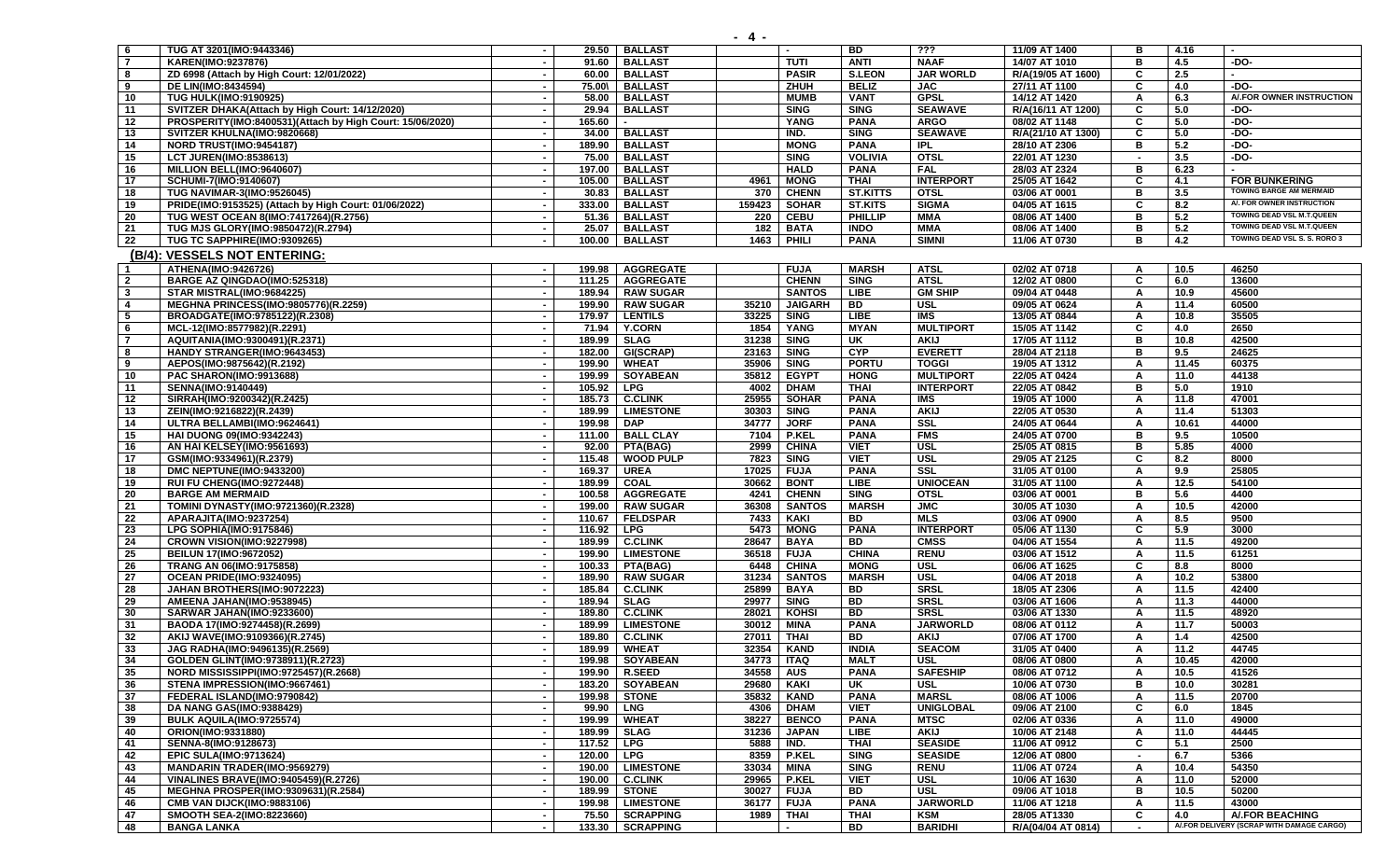| - 6            | TUG AT 3201(IMO:9443346)                                  |                          | 29.50      | <b>BALLAST</b>     |           |                | <b>BD</b>      | ???              | 11/09 AT 1400      |        | 4.16  |                                           |
|----------------|-----------------------------------------------------------|--------------------------|------------|--------------------|-----------|----------------|----------------|------------------|--------------------|--------|-------|-------------------------------------------|
| $\overline{7}$ | KAREN(IMO:9237876)                                        |                          | 91.60      | <b>BALLAST</b>     |           | <b>TUTI</b>    | <b>ANTI</b>    | <b>NAAF</b>      | 14/07 AT 1010      | в      | 4.5   | -DO-                                      |
| 8              | ZD 6998 (Attach by High Court: 12/01/2022)                | $\sim$                   | 60.00      | <b>BALLAST</b>     |           | <b>PASIR</b>   | <b>S.LEON</b>  | <b>JAR WORLD</b> | R/A(19/05 AT 1600) | C      | 2.5   |                                           |
| 9              | <b>DE LIN(IMO:8434594)</b>                                | $\sim$                   | 75.00\     | <b>BALLAST</b>     |           | ZHUH           | <b>BELIZ</b>   | <b>JAC</b>       | 27/11 AT 1100      | C      | 4.0   | -DO-                                      |
| 10             | <b>TUG HULK(IMO:9190925)</b>                              |                          | 58.00      | <b>BALLAST</b>     |           | <b>MUMB</b>    | <b>VANT</b>    | <b>GPSL</b>      | 14/12 AT 1420      | A      | 6.3   | A/.FOR OWNER INSTRUCTION                  |
| 11             | SVITZER DHAKA(Attach by High Court: 14/12/2020)           | $\sim$                   | 29.94      | <b>BALLAST</b>     |           | <b>SING</b>    | <b>SING</b>    | <b>SEAWAVE</b>   | R/A(16/11 AT 1200) | C      | 5.0   | $-DO-$                                    |
| 12             | PROSPERITY(IMO:8400531)(Attach by High Court: 15/06/2020) | $\blacksquare$           | 165.60     |                    |           | <b>YANG</b>    | <b>PANA</b>    | <b>ARGO</b>      | 08/02 AT 1148      | C      | 5.0   | $-DO-$                                    |
| 13             | SVITZER KHULNA(IMO:9820668)                               |                          | 34.00      | <b>BALLAST</b>     |           | IND.           | <b>SING</b>    | <b>SEAWAVE</b>   | R/A(21/10 AT 1300) | C      | 5.0   | $-DO-$                                    |
| 14             | NORD TRUST(IMO:9454187)                                   |                          | 189.90     | <b>BALLAST</b>     |           | <b>MONG</b>    | <b>PANA</b>    | <b>IPL</b>       | 28/10 AT 2306      | в      | 5.2   | $-DO-$                                    |
| 15             | <b>LCT JUREN(IMO:8538613)</b>                             |                          | 75.00      | <b>BALLAST</b>     |           | <b>SING</b>    | <b>VOLIVIA</b> | <b>OTSL</b>      | 22/01 AT 1230      |        | 3.5   | -DO-                                      |
| 16             | MILLION BELL(IMO:9640607)                                 | $\sim$                   | 197.00     | <b>BALLAST</b>     |           | <b>HALD</b>    | <b>PANA</b>    | <b>FAL</b>       | 28/03 AT 2324      | в      | 6.23  |                                           |
| 17             | SCHUMI-7(IMO:9140607)                                     | $\sim$                   | 105.00     | <b>BALLAST</b>     | 4961      | <b>MONG</b>    | <b>THAI</b>    | <b>INTERPORT</b> | 25/05 AT 1642      | C.     | 4.1   | <b>FOR BUNKERING</b>                      |
| 18             | <b>TUG NAVIMAR-3(IMO:9526045)</b>                         | $\sim$                   | 30.83      | <b>BALLAST</b>     | 370       | <b>CHENN</b>   | ST.KITTS       | <b>OTSL</b>      | 03/06 AT 0001      | в      | 3.5   | <b>TOWING BARGE AM MERMAID</b>            |
| 19             | PRIDE(IMO:9153525) (Attach by High Court: 01/06/2022)     |                          | 333.00     | <b>BALLAST</b>     | 159423    | <b>SOHAR</b>   | <b>ST.KITS</b> | <b>SIGMA</b>     | 04/05 AT 1615      | c      | 8.2   | A/. FOR OWNER INSTRUCTION                 |
| 20             | TUG WEST OCEAN 8(IMO:7417264)(R.2756)                     |                          | 51.36      | <b>BALLAST</b>     | 220       | <b>CEBU</b>    | <b>PHILLIP</b> | MMA              | 08/06 AT 1400      | в      | 5.2   | TOWING DEAD VSL M.T.QUEEN                 |
| 21             | TUG MJS GLORY(IMO:9850472)(R.2794)                        |                          | 25.07      | <b>BALLAST</b>     | 182       | <b>BATA</b>    | <b>INDO</b>    | MMA              | 08/06 AT 1400      | в      | 5.2   | TOWING DEAD VSL M.T.QUEEN                 |
| 22             | TUG TC SAPPHIRE(IMO:9309265)                              | $\sim$                   | 100.00     | <b>BALLAST</b>     | 1463      | PHILI          | <b>PANA</b>    | <b>SIMNI</b>     | 11/06 AT 0730      | в      | 4.2   | TOWING DEAD VSL S. S. RORO 3              |
|                | (B/4): VESSELS NOT ENTERING:                              |                          |            |                    |           |                |                |                  |                    |        |       |                                           |
| -1             | ATHENA(IMO:9426726)                                       |                          | 199.98     | <b>AGGREGATE</b>   |           | <b>FUJA</b>    | <b>MARSH</b>   | <b>ATSL</b>      | 02/02 AT 0718      | A      | 10.5  | 46250                                     |
| $\overline{2}$ | BARGE AZ QINGDAO(IMO:525318)                              | $\blacksquare$           | 111.25     | <b>AGGREGATE</b>   |           | <b>CHENN</b>   | <b>SING</b>    | <b>ATSL</b>      | 12/02 AT 0800      | C      | 6.0   | 13600                                     |
|                | STAR MISTRAL(IMO:9684225)                                 | $\sim$                   | 189.94     | <b>RAW SUGAR</b>   |           | <b>SANTOS</b>  | <b>LIBE</b>    | <b>GM SHIP</b>   | 09/04 AT 0448      |        | 10.9  | 45600                                     |
| $\mathbf{3}$   |                                                           |                          |            |                    |           |                |                |                  |                    | A      |       |                                           |
| 4              | <b>MEGHNA PRINCESS(IMO:9805776)(R.2259)</b>               |                          | 199.90     | <b>RAW SUGAR</b>   | 35210     | <b>JAIGARH</b> | <b>BD</b>      | <b>USL</b>       | 09/05 AT 0624      | A      | 11.4  | 60500                                     |
| 5              | BROADGATE(IMO:9785122)(R.2308)                            |                          | 179.97     | <b>LENTILS</b>     | 33225     | <b>SING</b>    | <b>LIBE</b>    | <b>IMS</b>       | 13/05 AT 0844      | A      | 10.8  | 35505                                     |
| 6              | MCL-12(IMO:8577982)(R.2291)                               |                          | 71.94      | <b>Y.CORN</b>      | 1854      | YANG           | <b>MYAN</b>    | <b>MULTIPORT</b> | 15/05 AT 1142      | C      | 4.0   | 2650                                      |
| $\overline{7}$ | AQUITANIA(IMO:9300491)(R.2371)                            |                          | 189.99     | <b>SLAG</b>        | 31238     | <b>SING</b>    | UK             | <b>AKIJ</b>      | 17/05 AT 1112      | в      | 10.8  | 42500                                     |
| 8              | HANDY STRANGER(IMO:9643453)                               | $\sim$                   | 182.00     | GI(SCRAP)          | 23163     | <b>SING</b>    | <b>CYP</b>     | <b>EVERETT</b>   | 28/04 AT 2118      | в      | 9.5   | 24625                                     |
| 9              | AEPOS(IMO:9875642)(R.2192)                                |                          | 199.90     | <b>WHEAT</b>       | 35906     | <b>SING</b>    | <b>PORTU</b>   | <b>TOGGI</b>     | 19/05 AT 1312      | A      | 11.45 | 60375                                     |
| 10             | <b>PAC SHARON(IMO:9913688)</b>                            | $\sim$                   | 199.99     | <b>SOYABEAN</b>    | 35812     | <b>EGYPT</b>   | <b>HONG</b>    | <b>MULTIPORT</b> | 22/05 AT 0424      | A      | 11.0  | 44138                                     |
| 11             | SENNA(IMO:9140449)                                        |                          | 105.92     | <b>LPG</b>         | 4002      | <b>DHAM</b>    | <b>THAI</b>    | <b>INTERPORT</b> | 22/05 AT 0842      | B      | 5.0   | 1910                                      |
| 12             | SIRRAH(IMO:9200342)(R.2425)                               |                          | 185.73     | <b>C.CLINK</b>     | 25955     | <b>SOHAR</b>   | <b>PANA</b>    | IMS              | 19/05 AT 1000      | A      | 11.8  | 47001                                     |
| 13             | ZEIN(IMO:9216822)(R.2439)                                 |                          | 189.99     | <b>LIMESTONE</b>   | 30303     | <b>SING</b>    | <b>PANA</b>    | <b>AKIJ</b>      | 22/05 AT 0530      | A      | 11.4  | 51303                                     |
| 14             | ULTRA BELLAMBI(IMO:9624641)                               | $\sim$                   | 199.98     | <b>DAP</b>         | 34777     | <b>JORF</b>    | <b>PANA</b>    | $s$ ssl          | 24/05 AT 0644      | A      | 10.61 | 44000                                     |
| 15             | <b>HAI DUONG 09(IMO:9342243)</b>                          | $\sim$                   | 111.00     | <b>BALL CLAY</b>   | 7104      | <b>P.KEL</b>   | <b>PANA</b>    | <b>FMS</b>       | 24/05 AT 0700      | в      | 9.5   | 10500                                     |
| 16             | AN HAI KELSEY(IMO:9561693)                                |                          | 92.00      | <b>PTA(BAG)</b>    | 2999      | <b>CHINA</b>   | <b>VIET</b>    | <b>USL</b>       | 25/05 AT 0815      | в      | 5.85  | 4000                                      |
| 17             | GSM(IMO:9334961)(R.2379)                                  | $\sim$                   | 115.48     | <b>WOOD PULP</b>   | 7823      | <b>SING</b>    | <b>VIET</b>    | <b>USL</b>       | 29/05 AT 2125      | C      | 8.2   | 8000                                      |
| 18             | DMC NEPTUNE(IMO:9433200)                                  |                          | 169.37     | <b>UREA</b>        | 17025     | <b>FUJA</b>    | <b>PANA</b>    | SSL              | 31/05 AT 0100      | A      | 9.9   | 25805                                     |
| 19             | RUI FU CHENG(IMO:9272448)                                 |                          | 189.99     | <b>COAL</b>        | 30662     | <b>BONT</b>    | <b>LIBE</b>    | <b>UNIOCEAN</b>  | 31/05 AT 1100      | A      | 12.5  | 54100                                     |
| 20             | <b>BARGE AM MERMAID</b>                                   | $\overline{\phantom{a}}$ | 100.58     | <b>AGGREGATE</b>   | 4241      | <b>CHENN</b>   | <b>SING</b>    | <b>OTSL</b>      | 03/06 AT 0001      | в      | 5.6   | 4400                                      |
| 21             | TOMINI DYNASTY(IMO:9721360)(R.2328)                       |                          | 199.00     | <b>RAW SUGAR</b>   | 36308     | <b>SANTOS</b>  | <b>MARSH</b>   | <b>JMC</b>       | 30/05 AT 1030      | A      | 10.5  | 42000                                     |
| 22             | APARAJITA(IMO:9237254)                                    | $\sim$                   | 110.67     | <b>FELDSPAR</b>    | 7433      | KAKI           | BD             | <b>MLS</b>       | 03/06 AT 0900      | A      | 8.5   | 9500                                      |
| 23             | LPG SOPHIA(IMO:9175846)                                   |                          | 116.92     | <b>LPG</b>         | 5473      | <b>MONG</b>    | <b>PANA</b>    | <b>INTERPORT</b> | 05/06 AT 1130      | C      | 5.9   | 3000                                      |
| 24             | CROWN VISION(IMO:9227998)                                 |                          | 189.99     | <b>C.CLINK</b>     | 28647     | <b>BAYA</b>    | <b>BD</b>      | <b>CMSS</b>      | 04/06 AT 1554      | A      | 11.5  | 49200                                     |
| 25             | <b>BEILUN 17(IMO:9672052)</b>                             |                          | 199.90     | <b>LIMESTONE</b>   | 36518     | <b>FUJA</b>    | <b>CHINA</b>   | <b>RENU</b>      | 03/06 AT 1512      | A      | 11.5  | 61251                                     |
| 26             | TRANG AN 06(IMO:9175858)                                  |                          | 100.33     | <b>PTA(BAG)</b>    | 6448      | <b>CHINA</b>   | <b>MONG</b>    | <b>USL</b>       | 06/06 AT 1625      | C      | 8.8   | 8000                                      |
| 27             | OCEAN PRIDE(IMO:9324095)                                  |                          | 189.90     | <b>RAW SUGAR</b>   | 31234     | <b>SANTOS</b>  | <b>MARSH</b>   | <b>USL</b>       | 04/06 AT 2018      | A      | 10.2  | 53800                                     |
| 28             | JAHAN BROTHERS(IMO:9072223)                               |                          | 185.84     | <b>C.CLINK</b>     | 25899     | <b>BAYA</b>    | BD             | <b>SRSL</b>      | 18/05 AT 2306      | A      | 11.5  | 42400                                     |
| 29             | AMEENA JAHAN(IMO:9538945)                                 | $\sim$                   | 189.94     | <b>SLAG</b>        | 29977     | <b>SING</b>    | <b>BD</b>      | <b>SRSL</b>      | 03/06 AT 1606      | A      | 11.3  | 44000                                     |
| 30             | SARWAR JAHAN(IMO:9233600)                                 |                          | 189.80     | <b>C.CLINK</b>     | 28021     | <b>KOHSI</b>   | BD             | <b>SRSL</b>      | 03/06 AT 1330      | A      | 11.5  | 48920                                     |
| 31             | BAODA 17(IMO:9274458)(R.2699)                             |                          | 189.99     | <b>LIMESTONE</b>   | 30012     | <b>MINA</b>    | <b>PANA</b>    | <b>JARWORLD</b>  | 08/06 AT 0112      | A      | 11.7  | 50003                                     |
| 32             | AKIJ WAVE(IMO:9109366)(R.2745)                            |                          | 189.80     | <b>C.CLINK</b>     | 27011     | <b>THAI</b>    | BD             | <b>AKIJ</b>      | 07/06 AT 1700      | A      | 1.4   | 42500                                     |
| 33             | JAG RADHA(IMO:9496135)(R.2569)                            |                          | 189.99     | <b>WHEAT</b>       | 32354     | <b>KAND</b>    | <b>INDIA</b>   | <b>SEACOM</b>    | 31/05 AT 0400      | A      | 11.2  | 44745                                     |
| 34             | GOLDEN GLINT(IMO:9738911)(R.2723)                         |                          |            | 199.98 SOYABEAN    | 34773     | <b>ITAQ</b>    | <b>MALT</b>    | USL              | 08/06 AT 0800      | A      | 10.45 | 42000                                     |
| 35             | NORD MISSISSIPPI(IMO:9725457)(R.2668)                     |                          |            | 199.90   R.SEED    | 34558 AUS |                | PANA           | <b>SAFESHIP</b>  | 08/06 AT 0712      | A      | 10.5  | 41526                                     |
| 36             | STENA IMPRESSION(IMO:9667461)                             | $\sim$                   |            | 183.20   SOYABEAN  | 29680     | KAKI           | UK             | <b>USL</b>       | 10/06 AT 0730      | в      | 10.0  | 30281                                     |
| 37             | FEDERAL ISLAND(IMO:9790842)                               |                          | 199.98     | <b>STONE</b>       | 35832     | <b>KAND</b>    | <b>PANA</b>    | <b>MARSL</b>     | 08/06 AT 1006      | А      | 11.5  | 20700                                     |
| 38             | DA NANG GAS(IMO:9388429)                                  | $\blacksquare$           | 99.90      | <b>LNG</b>         | 4306      | <b>DHAM</b>    | <b>VIET</b>    | <b>UNIGLOBAL</b> | 09/06 AT 2100      | C      | 6.0   | 1845                                      |
| 39             | <b>BULK AQUILA(IMO:9725574)</b>                           |                          |            | 199.99   WHEAT     | 38227     | <b>BENCO</b>   | <b>PANA</b>    | <b>MTSC</b>      | 02/06 AT 0336      | A      | 11.0  | 49000                                     |
| 40             | ORION(IMO:9331880)                                        | $\sim$                   | 189.99     | <b>SLAG</b>        | 31236     | <b>JAPAN</b>   | <b>LIBE</b>    | <b>AKIJ</b>      | 10/06 AT 2148      | A      | 11.0  | 44445                                     |
| 41             | SENNA-8(IMO:9128673)                                      | $\sim$                   | 117.52     | <b>LPG</b>         | 5888      | IND.           | <b>THAI</b>    | <b>SEASIDE</b>   | 11/06 AT 0912      | C      | 5.1   | 2500                                      |
| 42             | <b>EPIC SULA(IMO:9713624)</b>                             | $\blacksquare$           | 120.00 LPG |                    | 8359      | <b>P.KEL</b>   | <b>SING</b>    | <b>SEASIDE</b>   | 12/06 AT 0800      | $\sim$ | 6.7   | 5366                                      |
| 43             | <b>MANDARIN TRADER(IMO:9569279)</b>                       | $\sim$                   | 190.00     | <b>LIMESTONE</b>   | 33034     | <b>MINA</b>    | <b>SING</b>    | <b>RENU</b>      | 11/06 AT 0724      | A      | 10.4  | 54350                                     |
| 44             | <b>VINALINES BRAVE(IMO:9405459)(R.2726)</b>               |                          |            | 190.00   C.CLINK   | 29965     | <b>P.KEL</b>   | <b>VIET</b>    | <b>USL</b>       | 10/06 AT 1630      | A      | 11.0  | 52000                                     |
| 45             | MEGHNA PROSPER(IMO:9309631)(R.2584)                       | $\blacksquare$           |            | 189.99 STONE       | 30027     | <b>FUJA</b>    | BD             | <b>USL</b>       | 09/06 AT 1018      | в      | 10.5  | 50200                                     |
| 46             | <b>CMB VAN DIJCK(IMO:9883106)</b>                         | $\sim$                   |            | 199.98   LIMESTONE | 36177     | <b>FUJA</b>    | <b>PANA</b>    | <b>JARWORLD</b>  | 11/06 AT 1218      | A      | 11.5  | 43000                                     |
| 47             | SMOOTH SEA-2(IMO:8223660)                                 | $\sim$                   |            | 75.50   SCRAPPING  | 1989      | <b>THAI</b>    | <b>THAI</b>    | KSM              | 28/05 AT1330       | C      | 4.0   | A/.FOR BEACHING                           |
| 48             | <b>BANGA LANKA</b>                                        | $\sim$                   |            | 133.30   SCRAPPING |           | $\sim$         | BD             | <b>BARIDHI</b>   | R/A(04/04 AT 0814) | $\sim$ |       | A/.FOR DELIVERY (SCRAP WITH DAMAGE CARGO) |